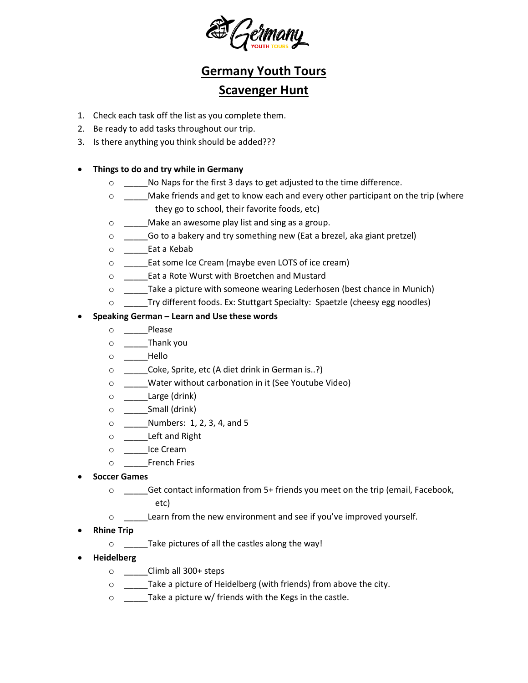

## **Germany Youth Tours**

## **Scavenger Hunt**

- 1. Check each task off the list as you complete them.
- 2. Be ready to add tasks throughout our trip.
- 3. Is there anything you think should be added???

## • **Things to do and try while in Germany**

- o \_\_\_\_\_No Naps for the first 3 days to get adjusted to the time difference.
- o \_\_\_\_\_Make friends and get to know each and every other participant on the trip (where they go to school, their favorite foods, etc)
- o \_\_\_\_\_Make an awesome play list and sing as a group.
- o \_\_\_\_\_Go to a bakery and try something new (Eat a brezel, aka giant pretzel)
- o \_\_\_\_\_Eat a Kebab
- o \_\_\_\_\_Eat some Ice Cream (maybe even LOTS of ice cream)
- o \_\_\_\_\_Eat a Rote Wurst with Broetchen and Mustard
- o \_\_\_\_\_Take a picture with someone wearing Lederhosen (best chance in Munich)
- o \_\_\_\_\_Try different foods. Ex: Stuttgart Specialty: Spaetzle (cheesy egg noodles)

## • **Speaking German – Learn and Use these words**

- o \_\_\_\_\_Please
- $\circ$   $\qquad$  Thank you
- $\circ$  Hello
- o \_\_\_\_\_Coke, Sprite, etc (A diet drink in German is..?)
- o \_\_\_\_\_Water without carbonation in it (See Youtube Video)
- o \_\_\_\_\_Large (drink)
- $\circ$  \_\_\_\_\_\_\_\_Small (drink)
- o \_\_\_\_\_Numbers: 1, 2, 3, 4, and 5
- o \_\_\_\_\_Left and Right
- o \_\_\_\_\_Ice Cream
- o \_\_\_\_\_French Fries
- **Soccer Games**
	- o \_\_\_\_\_Get contact information from 5+ friends you meet on the trip (email, Facebook, etc)
	- o \_\_\_\_\_Learn from the new environment and see if you've improved yourself.
- **Rhine Trip**
	- o \_\_\_\_\_Take pictures of all the castles along the way!
- **Heidelberg** 
	- o \_\_\_\_\_Climb all 300+ steps
	- o \_\_\_\_\_Take a picture of Heidelberg (with friends) from above the city.
	- o \_\_\_\_\_Take a picture w/ friends with the Kegs in the castle.